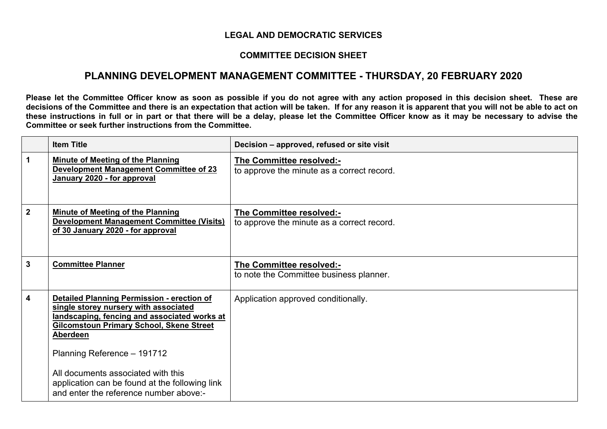## **LEGAL AND DEMOCRATIC SERVICES**

## **COMMITTEE DECISION SHEET**

## **PLANNING DEVELOPMENT MANAGEMENT COMMITTEE - THURSDAY, 20 FEBRUARY 2020**

Please let the Committee Officer know as soon as possible if you do not agree with any action proposed in this decision sheet. These are decisions of the Committee and there is an expectation that action will be taken. If for any reason it is apparent that you will not be able to act on these instructions in full or in part or that there will be a delay, please let the Committee Officer know as it may be necessary to advise the **Committee or seek further instructions from the Committee.**

|              | <b>Item Title</b>                                                                                                                                                                                                                                                                                                                                                          | Decision – approved, refused or site visit                             |
|--------------|----------------------------------------------------------------------------------------------------------------------------------------------------------------------------------------------------------------------------------------------------------------------------------------------------------------------------------------------------------------------------|------------------------------------------------------------------------|
| 1.           | <b>Minute of Meeting of the Planning</b><br><b>Development Management Committee of 23</b><br>January 2020 - for approval                                                                                                                                                                                                                                                   | The Committee resolved:-<br>to approve the minute as a correct record. |
| $\mathbf{2}$ | <b>Minute of Meeting of the Planning</b><br><b>Development Management Committee (Visits)</b><br>of 30 January 2020 - for approval                                                                                                                                                                                                                                          | The Committee resolved:-<br>to approve the minute as a correct record. |
| 3            | <b>Committee Planner</b>                                                                                                                                                                                                                                                                                                                                                   | The Committee resolved:-<br>to note the Committee business planner.    |
| 4            | Detailed Planning Permission - erection of<br>single storey nursery with associated<br>landscaping, fencing and associated works at<br><b>Gilcomstoun Primary School, Skene Street</b><br><b>Aberdeen</b><br>Planning Reference - 191712<br>All documents associated with this<br>application can be found at the following link<br>and enter the reference number above:- | Application approved conditionally.                                    |